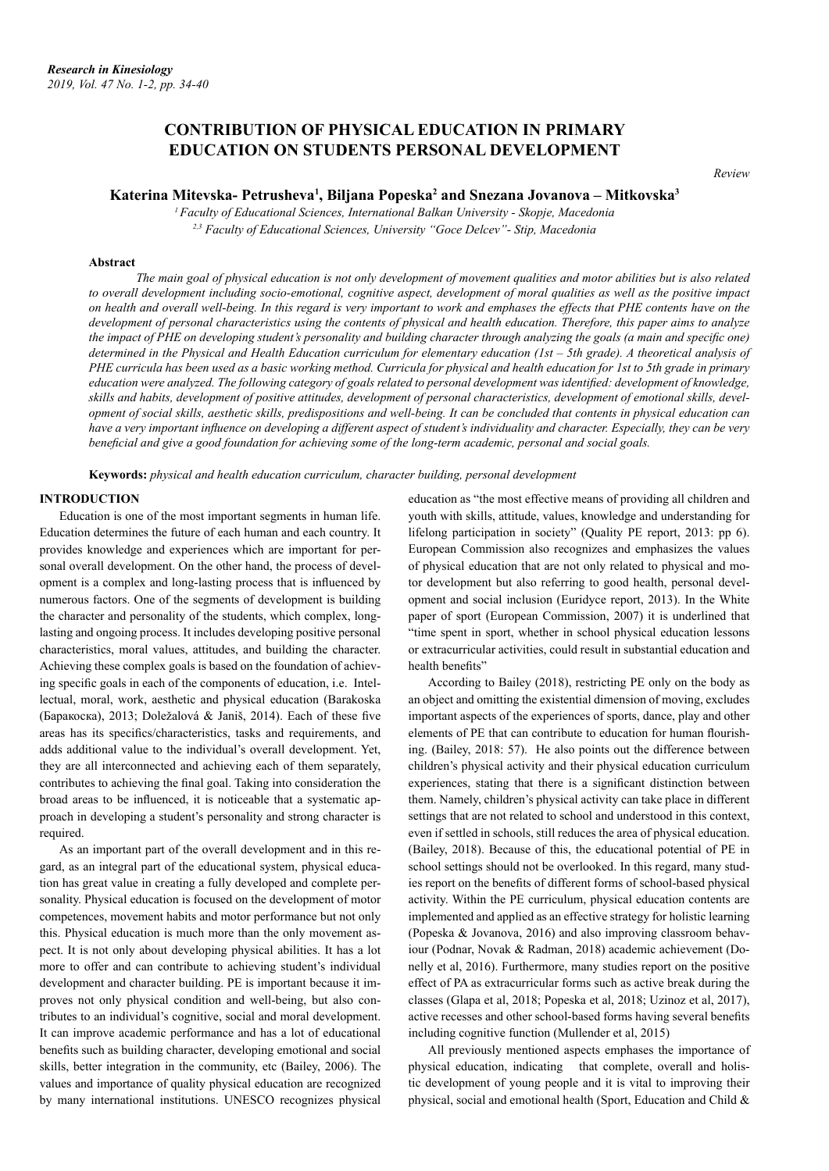# **CONTRIBUTION OF PHYSICAL EDUCATION IN PRIMARY EDUCATION ON STUDENTS PERSONAL DEVELOPMENT**

*Review*

# Katerina Mitevska- Petrusheva<sup>1</sup>, Biljana Popeska<sup>2</sup> and Snezana Jovanova – Mitkovska<sup>3</sup>

*<sup>1</sup>Faculty of Educational Sciences, International Balkan University - Skopje, Macedonia 2,3 Faculty of Educational Sciences, University "Goce Delcev"- Stip, Macedonia*

#### **Abstract**

*The main goal of physical education is not only development of movement qualities and motor abilities but is also related to overall development including socio-emotional, cognitive aspect, development of moral qualities as well as the positive impact on health and overall well-being. In this regard is very important to work and emphases the effects that PHE contents have on the development of personal characteristics using the contents of physical and health education. Therefore, this paper aims to analyze the impact of PHE on developing student's personality and building character through analyzing the goals (a main and specific one) determined in the Physical and Health Education curriculum for elementary education (1st – 5th grade). A theoretical analysis of PHE curricula has been used as a basic working method. Curricula for physical and health education for 1st to 5th grade in primary education were analyzed. The following category of goals related to personal development was identified: development of knowledge, skills and habits, development of positive attitudes, development of personal characteristics, development of emotional skills, development of social skills, aesthetic skills, predispositions and well-being. It can be concluded that contents in physical education can have a very important influence on developing a different aspect of student's individuality and character. Especially, they can be very beneficial and give a good foundation for achieving some of the long-term academic, personal and social goals.*

**Keywords:** *physical and health education curriculum, character building, personal development*

## **INTRODUCTION**

Education is one of the most important segments in human life. Education determines the future of each human and each country. It provides knowledge and experiences which are important for personal overall development. On the other hand, the process of development is a complex and long-lasting process that is influenced by numerous factors. One of the segments of development is building the character and personality of the students, which complex, longlasting and ongoing process. It includes developing positive personal characteristics, moral values, attitudes, and building the character. Achieving these complex goals is based on the foundation of achieving specific goals in each of the components of education, i.e. Intellectual, moral, work, aesthetic and physical education (Barakoska (Баракоска), 2013; Doležalová & Janiš, 2014). Each of these five areas has its specifics/characteristics, tasks and requirements, and adds additional value to the individual's overall development. Yet, they are all interconnected and achieving each of them separately, contributes to achieving the final goal. Taking into consideration the broad areas to be influenced, it is noticeable that a systematic approach in developing a student's personality and strong character is required.

As an important part of the overall development and in this regard, as an integral part of the educational system, physical education has great value in creating a fully developed and complete personality. Physical education is focused on the development of motor competences, movement habits and motor performance but not only this. Physical education is much more than the only movement aspect. It is not only about developing physical abilities. It has a lot more to offer and can contribute to achieving student's individual development and character building. PE is important because it improves not only physical condition and well-being, but also contributes to an individual's cognitive, social and moral development. It can improve academic performance and has a lot of educational benefits such as building character, developing emotional and social skills, better integration in the community, etc (Bailey, 2006). The values and importance of quality physical education are recognized by many international institutions. UNESCO recognizes physical

education as "the most effective means of providing all children and youth with skills, attitude, values, knowledge and understanding for lifelong participation in society" (Quality PE report, 2013: pp 6). European Commission also recognizes and emphasizes the values of physical education that are not only related to physical and motor development but also referring to good health, personal development and social inclusion (Euridyce report, 2013). In the White paper of sport (European Commission, 2007) it is underlined that "time spent in sport, whether in school physical education lessons or extracurricular activities, could result in substantial education and health benefits"

According to Bailey (2018), restricting PE only on the body as an object and omitting the existential dimension of moving, excludes important aspects of the experiences of sports, dance, play and other elements of PE that can contribute to education for human flourishing. (Bailey, 2018: 57). He also points out the difference between children's physical activity and their physical education curriculum experiences, stating that there is a significant distinction between them. Namely, children's physical activity can take place in different settings that are not related to school and understood in this context, even if settled in schools, still reduces the area of physical education. (Bailey, 2018). Because of this, the educational potential of PE in school settings should not be overlooked. In this regard, many studies report on the benefits of different forms of school-based physical activity. Within the PE curriculum, physical education contents are implemented and applied as an effective strategy for holistic learning (Popeska & Jovanova, 2016) and also improving classroom behaviour (Podnar, Novak & Radman, 2018) academic achievement (Donelly et al, 2016). Furthermore, many studies report on the positive effect of PA as extracurricular forms such as active break during the classes (Glapa et al, 2018; Popeska et al, 2018; Uzinoz et al, 2017), active recesses and other school-based forms having several benefits including cognitive function (Mullender et al, 2015)

All previously mentioned aspects emphases the importance of physical education, indicating that complete, overall and holistic development of young people and it is vital to improving their physical, social and emotional health (Sport, Education and Child &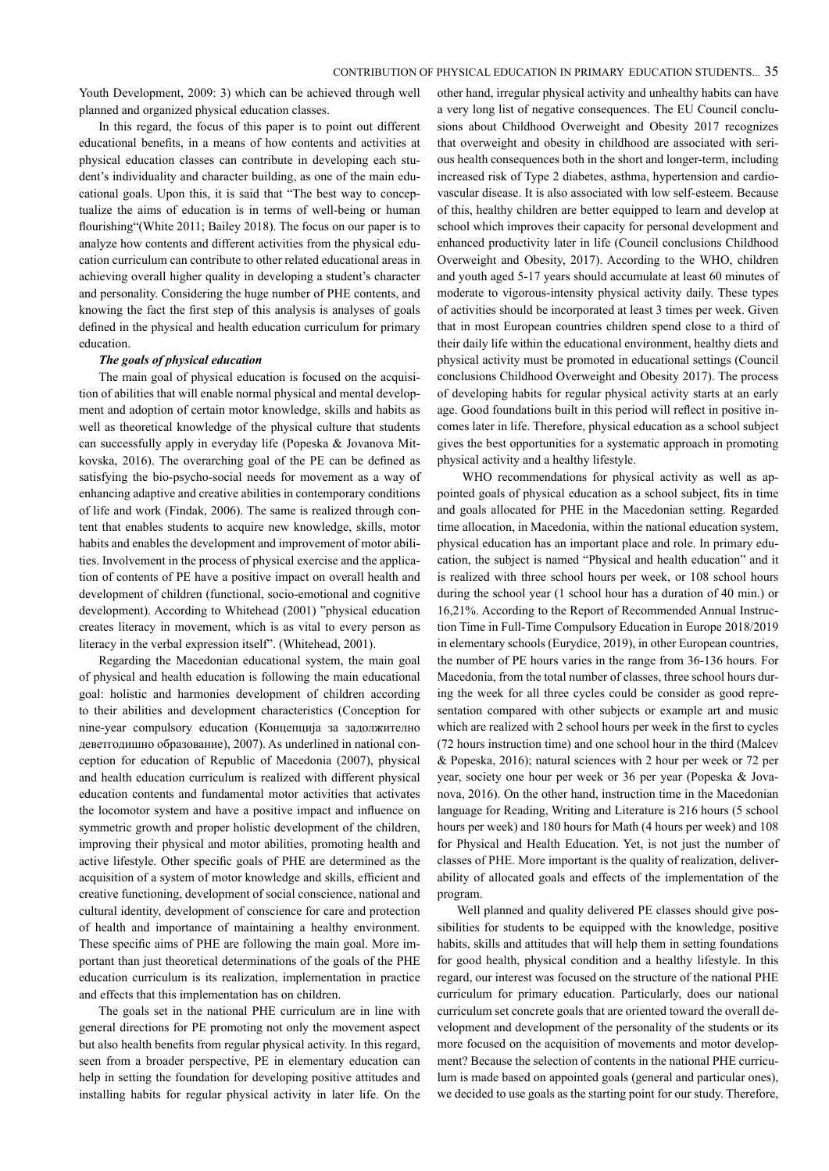Youth Development, 2009: 3) which can be achieved through well planned and organized physical education classes.

In this regard, the focus of this paper is to point out different educational benefits, in a means of how contents and activities at physical education classes can contribute in developing each student's individuality and character building, as one of the main educational goals. Upon this, it is said that "The best way to conceptualize the aims of education is in terms of well-being or human flourishing"(White 2011; Bailey 2018). The focus on our paper is to analyze how contents and different activities from the physical education curriculum can contribute to other related educational areas in achieving overall higher quality in developing a student's character and personality. Considering the huge number of PHE contents, and knowing the fact the first step of this analysis is analyses of goals defined in the physical and health education curriculum for primary education.

#### *The goals of physical education*

The main goal of physical education is focused on the acquisition of abilities that will enable normal physical and mental development and adoption of certain motor knowledge, skills and habits as well as theoretical knowledge of the physical culture that students can successfully apply in everyday life (Popeska & Jovanova Mitkovska, 2016). The overarching goal of the PE can be defined as satisfying the bio-psycho-social needs for movement as a way of enhancing adaptive and creative abilities in contemporary conditions of life and work (Findak, 2006). The same is realized through content that enables students to acquire new knowledge, skills, motor habits and enables the development and improvement of motor abilities. Involvement in the process of physical exercise and the application of contents of PE have a positive impact on overall health and development of children (functional, socio-emotional and cognitive development). According to Whitehead (2001) "physical education creates literacy in movement, which is as vital to every person as literacy in the verbal expression itself". (Whitehead, 2001).

Regarding the Macedonian educational system, the main goal of physical and health education is following the main educational goal: holistic and harmonies development of children according to their abilities and development characteristics (Conception for nine-year compulsory education (Концепција за задолжително деветгодишно образование), 2007). As underlined in national conception for education of Republic of Macedonia (2007), physical and health education curriculum is realized with different physical education contents and fundamental motor activities that activates the locomotor system and have a positive impact and influence on symmetric growth and proper holistic development of the children, improving their physical and motor abilities, promoting health and active lifestyle. Other specific goals of PHE are determined as the acquisition of a system of motor knowledge and skills, efficient and creative functioning, development of social conscience, national and cultural identity, development of conscience for care and protection of health and importance of maintaining a healthy environment. These specific aims of PHE are following the main goal. More important than just theoretical determinations of the goals of the PHE education curriculum is its realization, implementation in practice and effects that this implementation has on children.

The goals set in the national PHE curriculum are in line with general directions for PE promoting not only the movement aspect but also health benefits from regular physical activity. In this regard, seen from a broader perspective, PE in elementary education can help in setting the foundation for developing positive attitudes and installing habits for regular physical activity in later life. On the

other hand, irregular physical activity and unhealthy habits can have a very long list of negative consequences. The EU Council conclusions about Childhood Overweight and Obesity 2017 recognizes that overweight and obesity in childhood are associated with serious health consequences both in the short and longer-term, including increased risk of Type 2 diabetes, asthma, hypertension and cardiovascular disease. It is also associated with low self-esteem. Because of this, healthy children are better equipped to learn and develop at school which improves their capacity for personal development and enhanced productivity later in life (Council conclusions Childhood Overweight and Obesity, 2017). According to the WHO, children and youth aged 5-17 years should accumulate at least 60 minutes of moderate to vigorous-intensity physical activity daily. These types of activities should be incorporated at least 3 times per week. Given that in most European countries children spend close to a third of their daily life within the educational environment, healthy diets and physical activity must be promoted in educational settings (Council conclusions Childhood Overweight and Obesity 2017). The process of developing habits for regular physical activity starts at an early age. Good foundations built in this period will reflect in positive incomes later in life. Therefore, physical education as a school subject gives the best opportunities for a systematic approach in promoting physical activity and a healthy lifestyle.

 WHO recommendations for physical activity as well as appointed goals of physical education as a school subject, fits in time and goals allocated for PHE in the Macedonian setting. Regarded time allocation, in Macedonia, within the national education system, physical education has an important place and role. In primary education, the subject is named "Physical and health education" and it is realized with three school hours per week, or 108 school hours during the school year (1 school hour has a duration of 40 min.) or 16,21%. According to the Report of Recommended Annual Instruction Time in Full-Time Compulsory Education in Europe 2018/2019 in elementary schools (Eurydice, 2019), in other European countries, the number of PE hours varies in the range from 36-136 hours. For Macedonia, from the total number of classes, three school hours during the week for all three cycles could be consider as good representation compared with other subjects or example art and music which are realized with 2 school hours per week in the first to cycles (72 hours instruction time) and one school hour in the third (Malcev & Popeska, 2016); natural sciences with 2 hour per week or 72 per year, society one hour per week or 36 per year (Popeska & Jovanova, 2016). On the other hand, instruction time in the Macedonian language for Reading, Writing and Literature is 216 hours (5 school hours per week) and 180 hours for Math (4 hours per week) and 108 for Physical and Health Education. Yet, is not just the number of classes of PHE. More important is the quality of realization, deliverability of allocated goals and effects of the implementation of the program.

Well planned and quality delivered PE classes should give possibilities for students to be equipped with the knowledge, positive habits, skills and attitudes that will help them in setting foundations for good health, physical condition and a healthy lifestyle. In this regard, our interest was focused on the structure of the national PHE curriculum for primary education. Particularly, does our national curriculum set concrete goals that are oriented toward the overall development and development of the personality of the students or its more focused on the acquisition of movements and motor development? Because the selection of contents in the national PHE curriculum is made based on appointed goals (general and particular ones), we decided to use goals as the starting point for our study. Therefore,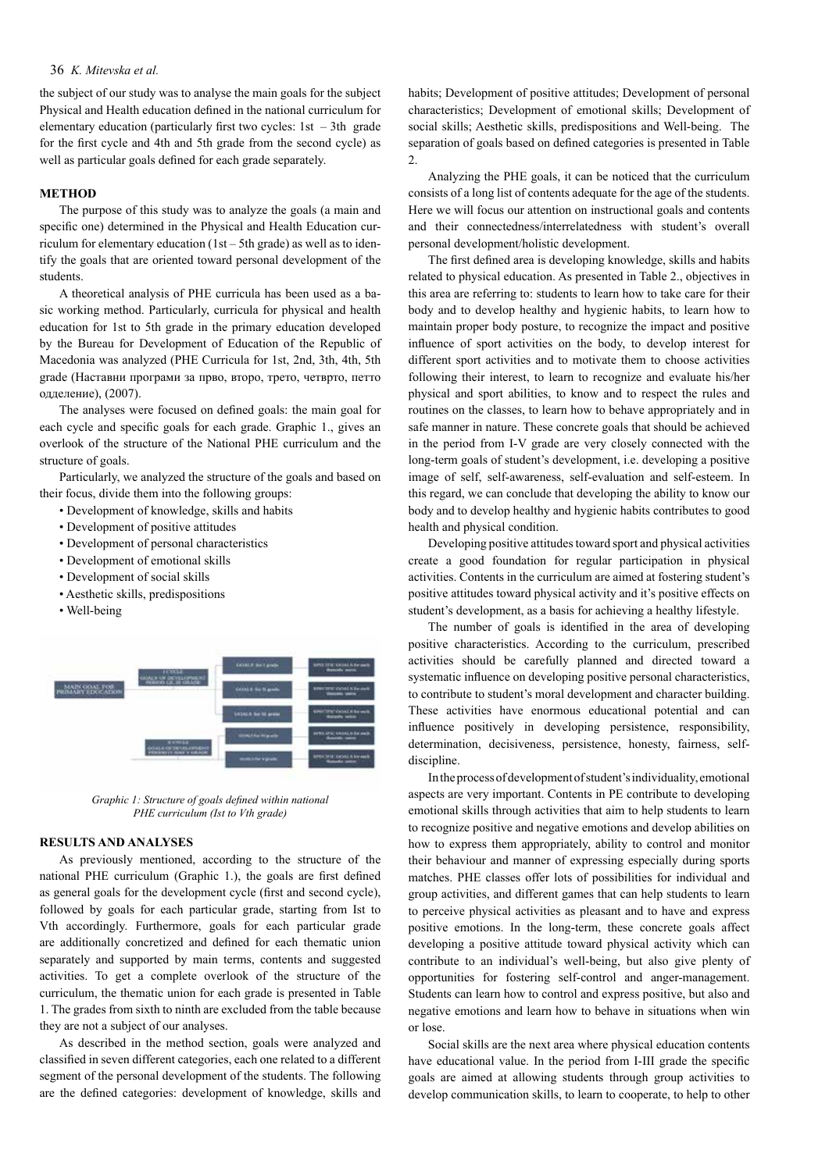# 36 *K. Mitevska et al.*

the subject of our study was to analyse the main goals for the subject Physical and Health education defined in the national curriculum for elementary education (particularly first two cycles:  $1st - 3th$  grade for the first cycle and 4th and 5th grade from the second cycle) as well as particular goals defined for each grade separately.

#### **METHOD**

The purpose of this study was to analyze the goals (a main and specific one) determined in the Physical and Health Education curriculum for elementary education (1st – 5th grade) as well as to identify the goals that are oriented toward personal development of the students.

A theoretical analysis of PHE curricula has been used as a basic working method. Particularly, curricula for physical and health education for 1st to 5th grade in the primary education developed by the Bureau for Development of Education of the Republic of Macedonia was analyzed (PHE Curricula for 1st, 2nd, 3th, 4th, 5th grade (Наставни програми за прво, второ, трето, четврто, петто одделениe), (2007).

The analyses were focused on defined goals: the main goal for each cycle and specific goals for each grade. Graphic 1., gives an overlook of the structure of the National PHE curriculum and the structure of goals.

Particularly, we analyzed the structure of the goals and based on their focus, divide them into the following groups:

- Development of knowledge, skills and habits
- Development of positive attitudes
- Development of personal characteristics
- Development of emotional skills
- Development of social skills
- Aesthetic skills, predispositions
- Well-being



*Graphic 1: Structure of goals defined within national PHE curriculum (Ist to Vth grade)*

## **RESULTS AND ANALYSES**

As previously mentioned, according to the structure of the national PHE curriculum (Graphic 1.), the goals are first defined as general goals for the development cycle (first and second cycle), followed by goals for each particular grade, starting from Ist to Vth accordingly. Furthermore, goals for each particular grade are additionally concretized and defined for each thematic union separately and supported by main terms, contents and suggested activities. To get a complete overlook of the structure of the curriculum, the thematic union for each grade is presented in Table 1. The grades from sixth to ninth are excluded from the table because they are not a subject of our analyses.

As described in the method section, goals were analyzed and classified in seven different categories, each one related to a different segment of the personal development of the students. The following are the defined categories: development of knowledge, skills and

habits; Development of positive attitudes; Development of personal characteristics; Development of emotional skills; Development of social skills; Aesthetic skills, predispositions and Well-being. The separation of goals based on defined categories is presented in Table 2.

Analyzing the PHE goals, it can be noticed that the curriculum consists of a long list of contents adequate for the age of the students. Here we will focus our attention on instructional goals and contents and their connectedness/interrelatedness with student's overall personal development/holistic development.

The first defined area is developing knowledge, skills and habits related to physical education. As presented in Table 2., objectives in this area are referring to: students to learn how to take care for their body and to develop healthy and hygienic habits, to learn how to maintain proper body posture, to recognize the impact and positive influence of sport activities on the body, to develop interest for different sport activities and to motivate them to choose activities following their interest, to learn to recognize and evaluate his/her physical and sport abilities, to know and to respect the rules and routines on the classes, to learn how to behave appropriately and in safe manner in nature. These concrete goals that should be achieved in the period from I-V grade are very closely connected with the long-term goals of student's development, i.e. developing a positive image of self, self-awareness, self-evaluation and self-esteem. In this regard, we can conclude that developing the ability to know our body and to develop healthy and hygienic habits contributes to good health and physical condition.

Developing positive attitudes toward sport and physical activities create a good foundation for regular participation in physical activities. Contents in the curriculum are aimed at fostering student's positive attitudes toward physical activity and it's positive effects on student's development, as a basis for achieving a healthy lifestyle.

The number of goals is identified in the area of developing positive characteristics. According to the curriculum, prescribed activities should be carefully planned and directed toward a systematic influence on developing positive personal characteristics, to contribute to student's moral development and character building. These activities have enormous educational potential and can influence positively in developing persistence, responsibility, determination, decisiveness, persistence, honesty, fairness, selfdiscipline.

In the process of development of student's individuality, emotional aspects are very important. Contents in PE contribute to developing emotional skills through activities that aim to help students to learn to recognize positive and negative emotions and develop abilities on how to express them appropriately, ability to control and monitor their behaviour and manner of expressing especially during sports matches. PHE classes offer lots of possibilities for individual and group activities, and different games that can help students to learn to perceive physical activities as pleasant and to have and express positive emotions. In the long-term, these concrete goals affect developing a positive attitude toward physical activity which can contribute to an individual's well-being, but also give plenty of opportunities for fostering self-control and anger-management. Students can learn how to control and express positive, but also and negative emotions and learn how to behave in situations when win or lose.

Social skills are the next area where physical education contents have educational value. In the period from I-III grade the specific goals are aimed at allowing students through group activities to develop communication skills, to learn to cooperate, to help to other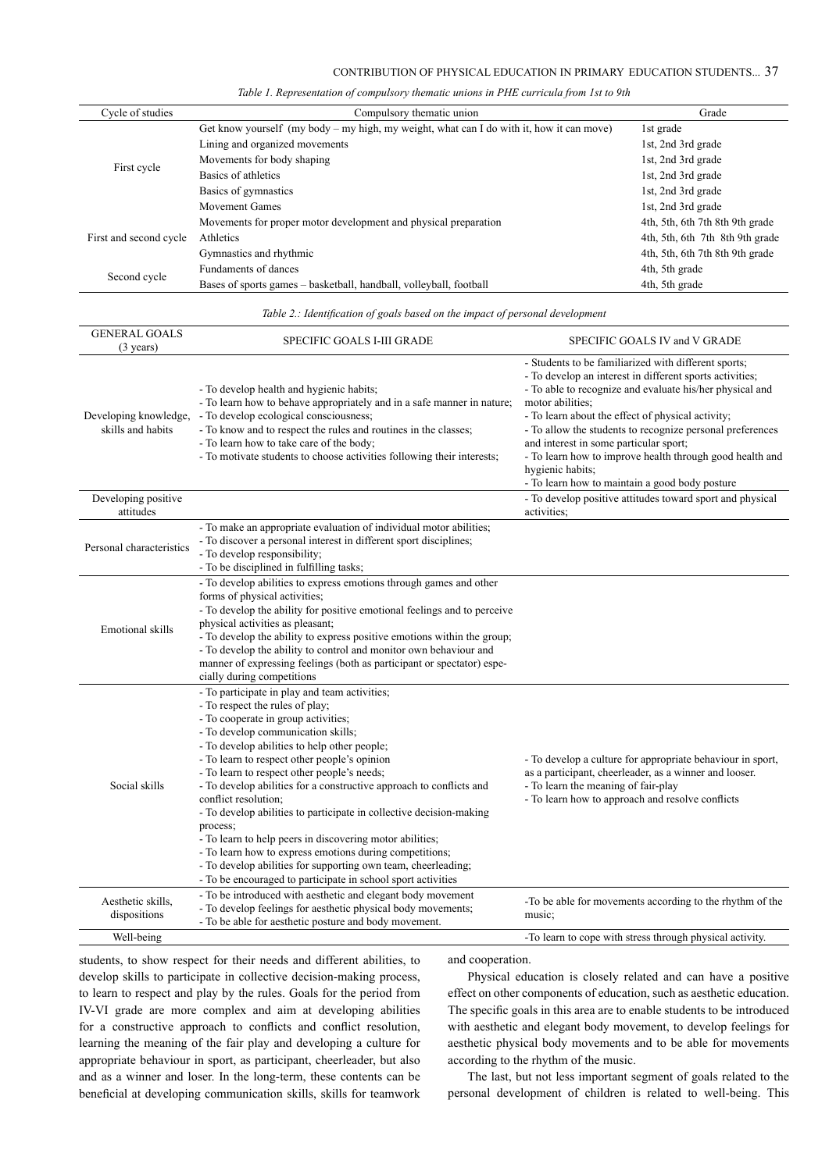|  |  |  |  | Table 1. Representation of compulsory thematic unions in PHE curricula from 1st to 9th |  |
|--|--|--|--|----------------------------------------------------------------------------------------|--|
|--|--|--|--|----------------------------------------------------------------------------------------|--|

| Cycle of studies       | Compulsory thematic union                                                                | Grade                           |
|------------------------|------------------------------------------------------------------------------------------|---------------------------------|
|                        | Get know yourself (my body – my high, my weight, what can I do with it, how it can move) | 1st grade                       |
|                        | Lining and organized movements                                                           | 1st, 2nd 3rd grade              |
|                        | Movements for body shaping                                                               | 1st, 2nd 3rd grade              |
| First cycle            | Basics of athletics                                                                      | 1st, 2nd 3rd grade              |
|                        | Basics of gymnastics                                                                     | 1st, 2nd 3rd grade              |
|                        | <b>Movement Games</b>                                                                    | 1st, 2nd 3rd grade              |
|                        | Movements for proper motor development and physical preparation                          | 4th, 5th, 6th 7th 8th 9th grade |
| First and second cycle | Athletics                                                                                | 4th, 5th, 6th 7th 8th 9th grade |
|                        | Gymnastics and rhythmic                                                                  | 4th, 5th, 6th 7th 8th 9th grade |
|                        | Fundaments of dances                                                                     | 4th, 5th grade                  |
| Second cycle           | Bases of sports games – basketball, handball, volleyball, football                       | 4th, 5th grade                  |

*Table 2.: Identification of goals based on the impact of personal development*

| <b>GENERAL GOALS</b><br>$(3 \text{ years})$ | SPECIFIC GOALS I-III GRADE                                                                                                                                                                                                                                                                                                                                                                                                                                                                                                                                                                                                                                                                                                                             | SPECIFIC GOALS IV and V GRADE                                                                                                                                                                                                                                                                                                                                                                                                                                                                  |
|---------------------------------------------|--------------------------------------------------------------------------------------------------------------------------------------------------------------------------------------------------------------------------------------------------------------------------------------------------------------------------------------------------------------------------------------------------------------------------------------------------------------------------------------------------------------------------------------------------------------------------------------------------------------------------------------------------------------------------------------------------------------------------------------------------------|------------------------------------------------------------------------------------------------------------------------------------------------------------------------------------------------------------------------------------------------------------------------------------------------------------------------------------------------------------------------------------------------------------------------------------------------------------------------------------------------|
| Developing knowledge,<br>skills and habits  | - To develop health and hygienic habits;<br>- To learn how to behave appropriately and in a safe manner in nature;<br>- To develop ecological consciousness;<br>- To know and to respect the rules and routines in the classes;<br>- To learn how to take care of the body;<br>- To motivate students to choose activities following their interests;                                                                                                                                                                                                                                                                                                                                                                                                  | - Students to be familiarized with different sports;<br>- To develop an interest in different sports activities;<br>- To able to recognize and evaluate his/her physical and<br>motor abilities;<br>- To learn about the effect of physical activity;<br>- To allow the students to recognize personal preferences<br>and interest in some particular sport;<br>- To learn how to improve health through good health and<br>hygienic habits;<br>- To learn how to maintain a good body posture |
| Developing positive<br>attitudes            |                                                                                                                                                                                                                                                                                                                                                                                                                                                                                                                                                                                                                                                                                                                                                        | - To develop positive attitudes toward sport and physical<br>activities;                                                                                                                                                                                                                                                                                                                                                                                                                       |
| Personal characteristics                    | - To make an appropriate evaluation of individual motor abilities;<br>- To discover a personal interest in different sport disciplines;<br>- To develop responsibility;<br>- To be disciplined in fulfilling tasks;                                                                                                                                                                                                                                                                                                                                                                                                                                                                                                                                    |                                                                                                                                                                                                                                                                                                                                                                                                                                                                                                |
| Emotional skills                            | - To develop abilities to express emotions through games and other<br>forms of physical activities;<br>- To develop the ability for positive emotional feelings and to perceive<br>physical activities as pleasant;<br>- To develop the ability to express positive emotions within the group;<br>- To develop the ability to control and monitor own behaviour and<br>manner of expressing feelings (both as participant or spectator) espe-<br>cially during competitions                                                                                                                                                                                                                                                                            |                                                                                                                                                                                                                                                                                                                                                                                                                                                                                                |
| Social skills                               | - To participate in play and team activities;<br>- To respect the rules of play;<br>- To cooperate in group activities;<br>- To develop communication skills;<br>- To develop abilities to help other people;<br>- To learn to respect other people's opinion<br>- To learn to respect other people's needs;<br>- To develop abilities for a constructive approach to conflicts and<br>conflict resolution;<br>- To develop abilities to participate in collective decision-making<br>process;<br>- To learn to help peers in discovering motor abilities;<br>- To learn how to express emotions during competitions;<br>- To develop abilities for supporting own team, cheerleading;<br>- To be encouraged to participate in school sport activities | - To develop a culture for appropriate behaviour in sport,<br>as a participant, cheerleader, as a winner and looser.<br>- To learn the meaning of fair-play<br>- To learn how to approach and resolve conflicts                                                                                                                                                                                                                                                                                |
| Aesthetic skills.<br>dispositions           | - To be introduced with aesthetic and elegant body movement<br>- To develop feelings for aesthetic physical body movements;<br>- To be able for aesthetic posture and body movement.                                                                                                                                                                                                                                                                                                                                                                                                                                                                                                                                                                   | -To be able for movements according to the rhythm of the<br>music;                                                                                                                                                                                                                                                                                                                                                                                                                             |
| Well-being                                  |                                                                                                                                                                                                                                                                                                                                                                                                                                                                                                                                                                                                                                                                                                                                                        | -To learn to cope with stress through physical activity.                                                                                                                                                                                                                                                                                                                                                                                                                                       |

students, to show respect for their needs and different abilities, to develop skills to participate in collective decision-making process, to learn to respect and play by the rules. Goals for the period from IV-VI grade are more complex and aim at developing abilities for a constructive approach to conflicts and conflict resolution, learning the meaning of the fair play and developing a culture for appropriate behaviour in sport, as participant, cheerleader, but also and as a winner and loser. In the long-term, these contents can be beneficial at developing communication skills, skills for teamwork and cooperation.

Physical education is closely related and can have a positive effect on other components of education, such as aesthetic education. The specific goals in this area are to enable students to be introduced with aesthetic and elegant body movement, to develop feelings for aesthetic physical body movements and to be able for movements according to the rhythm of the music.

The last, but not less important segment of goals related to the personal development of children is related to well-being. This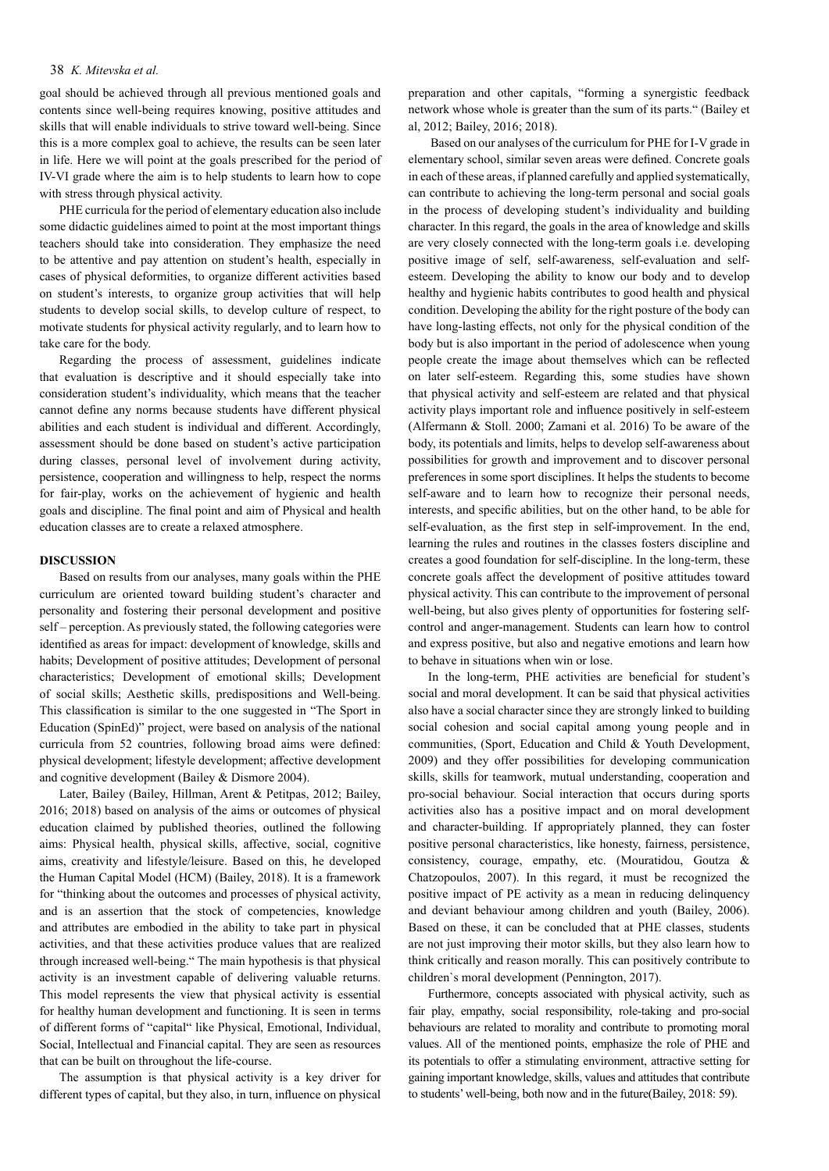# 38 *K. Mitevska et al.*

goal should be achieved through all previous mentioned goals and contents since well-being requires knowing, positive attitudes and skills that will enable individuals to strive toward well-being. Since this is a more complex goal to achieve, the results can be seen later in life. Here we will point at the goals prescribed for the period of IV-VI grade where the aim is to help students to learn how to cope with stress through physical activity.

PHE curricula for the period of elementary education also include some didactic guidelines aimed to point at the most important things teachers should take into consideration. They emphasize the need to be attentive and pay attention on student's health, especially in cases of physical deformities, to organize different activities based on student's interests, to organize group activities that will help students to develop social skills, to develop culture of respect, to motivate students for physical activity regularly, and to learn how to take care for the body.

Regarding the process of assessment, guidelines indicate that evaluation is descriptive and it should especially take into consideration student's individuality, which means that the teacher cannot define any norms because students have different physical abilities and each student is individual and different. Accordingly, assessment should be done based on student's active participation during classes, personal level of involvement during activity, persistence, cooperation and willingness to help, respect the norms for fair-play, works on the achievement of hygienic and health goals and discipline. The final point and aim of Physical and health education classes are to create a relaxed atmosphere.

#### **DISCUSSION**

Based on results from our analyses, many goals within the PHE curriculum are oriented toward building student's character and personality and fostering their personal development and positive self – perception. As previously stated, the following categories were identified as areas for impact: development of knowledge, skills and habits; Development of positive attitudes; Development of personal characteristics; Development of emotional skills; Development of social skills; Aesthetic skills, predispositions and Well-being. This classification is similar to the one suggested in "The Sport in Education (SpinEd)" project, were based on analysis of the national curricula from 52 countries, following broad aims were defined: physical development; lifestyle development; affective development and cognitive development (Bailey & Dismore 2004).

Later, Bailey (Bailey, Hillman, Arent & Petitpas, 2012; Bailey, 2016; 2018) based on analysis of the aims or outcomes of physical education claimed by published theories, outlined the following aims: Physical health, physical skills, affective, social, cognitive aims, creativity and lifestyle/leisure. Based on this, he developed the Human Capital Model (HCM) (Bailey, 2018). It is a framework for "thinking about the outcomes and processes of physical activity, and is an assertion that the stock of competencies, knowledge and attributes are embodied in the ability to take part in physical activities, and that these activities produce values that are realized through increased well-being." The main hypothesis is that physical activity is an investment capable of delivering valuable returns. This model represents the view that physical activity is essential for healthy human development and functioning. It is seen in terms of different forms of "capital" like Physical, Emotional, Individual, Social, Intellectual and Financial capital. They are seen as resources that can be built on throughout the life-course.

The assumption is that physical activity is a key driver for different types of capital, but they also, in turn, influence on physical

preparation and other capitals, "forming a synergistic feedback network whose whole is greater than the sum of its parts." (Bailey et al, 2012; Bailey, 2016; 2018).

 Based on our analyses of the curriculum for PHE for I-V grade in elementary school, similar seven areas were defined. Concrete goals in each of these areas, if planned carefully and applied systematically, can contribute to achieving the long-term personal and social goals in the process of developing student's individuality and building character. In this regard, the goals in the area of knowledge and skills are very closely connected with the long-term goals i.e. developing positive image of self, self-awareness, self-evaluation and selfesteem. Developing the ability to know our body and to develop healthy and hygienic habits contributes to good health and physical condition. Developing the ability for the right posture of the body can have long-lasting effects, not only for the physical condition of the body but is also important in the period of adolescence when young people create the image about themselves which can be reflected on later self-esteem. Regarding this, some studies have shown that physical activity and self-esteem are related and that physical activity plays important role and influence positively in self-esteem (Alfermann & Stoll. 2000; Zamani et al. 2016) To be aware of the body, its potentials and limits, helps to develop self-awareness about possibilities for growth and improvement and to discover personal preferences in some sport disciplines. It helps the students to become self-aware and to learn how to recognize their personal needs, interests, and specific abilities, but on the other hand, to be able for self-evaluation, as the first step in self-improvement. In the end, learning the rules and routines in the classes fosters discipline and creates a good foundation for self-discipline. In the long-term, these concrete goals affect the development of positive attitudes toward physical activity. This can contribute to the improvement of personal well-being, but also gives plenty of opportunities for fostering selfcontrol and anger-management. Students can learn how to control and express positive, but also and negative emotions and learn how to behave in situations when win or lose.

In the long-term, PHE activities are beneficial for student's social and moral development. It can be said that physical activities also have a social character since they are strongly linked to building social cohesion and social capital among young people and in communities, (Sport, Education and Child & Youth Development, 2009) and they offer possibilities for developing communication skills, skills for teamwork, mutual understanding, cooperation and pro-social behaviour. Social interaction that occurs during sports activities also has a positive impact and on moral development and character-building. If appropriately planned, they can foster positive personal characteristics, like honesty, fairness, persistence, consistency, courage, empathy, etc. (Mouratidou, Goutza & Chatzopoulos, 2007). In this regard, it must be recognized the positive impact of PE activity as a mean in reducing delinquency and deviant behaviour among children and youth (Bailey, 2006). Based on these, it can be concluded that at PHE classes, students are not just improving their motor skills, but they also learn how to think critically and reason morally. This can positively contribute to children`s moral development (Pennington, 2017).

Furthermore, concepts associated with physical activity, such as fair play, empathy, social responsibility, role-taking and pro-social behaviours are related to morality and contribute to promoting moral values. All of the mentioned points, emphasize the role of PHE and its potentials to offer a stimulating environment, attractive setting for gaining important knowledge, skills, values and attitudes that contribute to students' well-being, both now and in the future(Bailey, 2018: 59).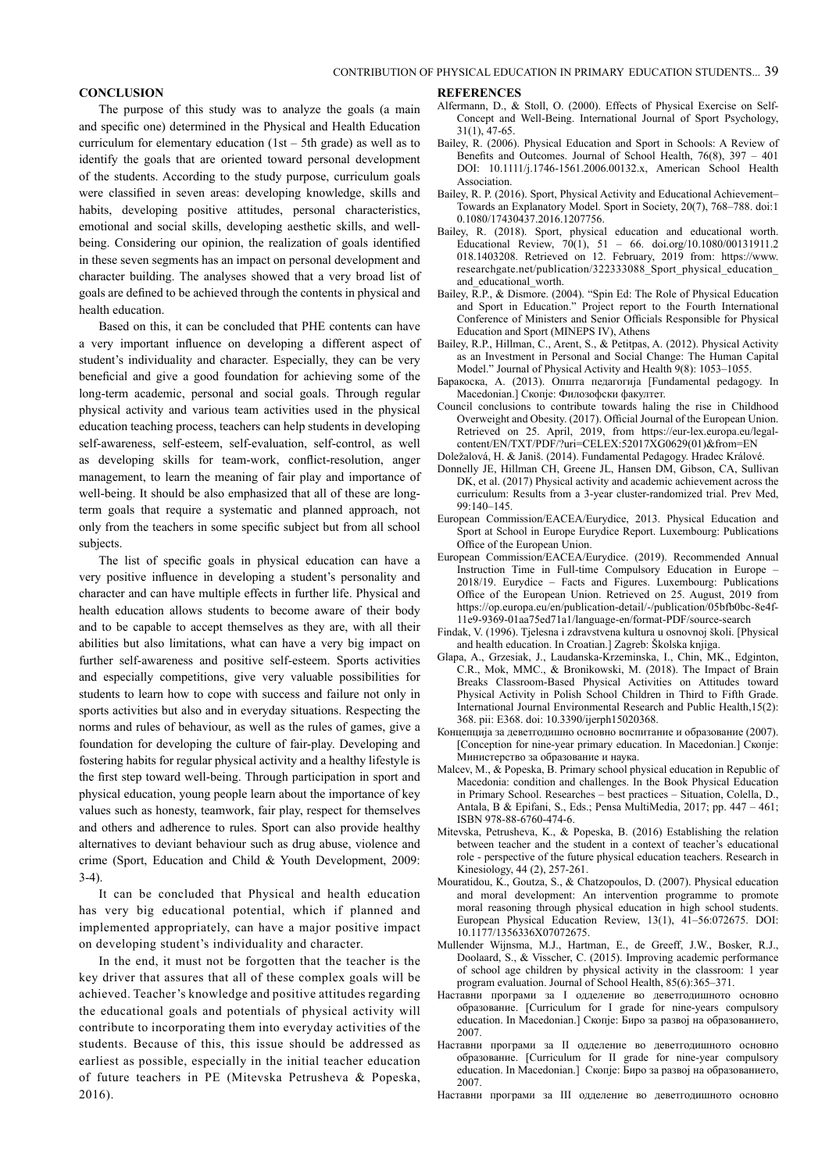#### **CONCLUSION**

The purpose of this study was to analyze the goals (a main and specific one) determined in the Physical and Health Education curriculum for elementary education  $(1st - 5th \text{ grade})$  as well as to identify the goals that are oriented toward personal development of the students. According to the study purpose, curriculum goals were classified in seven areas: developing knowledge, skills and habits, developing positive attitudes, personal characteristics, emotional and social skills, developing aesthetic skills, and wellbeing. Considering our opinion, the realization of goals identified in these seven segments has an impact on personal development and character building. The analyses showed that a very broad list of goals are defined to be achieved through the contents in physical and health education.

Based on this, it can be concluded that PHE contents can have a very important influence on developing a different aspect of student's individuality and character. Especially, they can be very beneficial and give a good foundation for achieving some of the long-term academic, personal and social goals. Through regular physical activity and various team activities used in the physical education teaching process, teachers can help students in developing self-awareness, self-esteem, self-evaluation, self-control, as well as developing skills for team-work, conflict-resolution, anger management, to learn the meaning of fair play and importance of well-being. It should be also emphasized that all of these are longterm goals that require a systematic and planned approach, not only from the teachers in some specific subject but from all school subjects.

The list of specific goals in physical education can have a very positive influence in developing a student's personality and character and can have multiple effects in further life. Physical and health education allows students to become aware of their body and to be capable to accept themselves as they are, with all their abilities but also limitations, what can have a very big impact on further self-awareness and positive self-esteem. Sports activities and especially competitions, give very valuable possibilities for students to learn how to cope with success and failure not only in sports activities but also and in everyday situations. Respecting the norms and rules of behaviour, as well as the rules of games, give a foundation for developing the culture of fair-play. Developing and fostering habits for regular physical activity and a healthy lifestyle is the first step toward well-being. Through participation in sport and physical education, young people learn about the importance of key values such as honesty, teamwork, fair play, respect for themselves and others and adherence to rules. Sport can also provide healthy alternatives to deviant behaviour such as drug abuse, violence and crime (Sport, Education and Child & Youth Development, 2009:  $3-4)$ 

It can be concluded that Physical and health education has very big educational potential, which if planned and implemented appropriately, can have a major positive impact on developing student's individuality and character.

In the end, it must not be forgotten that the teacher is the key driver that assures that all of these complex goals will be achieved. Teacher's knowledge and positive attitudes regarding the educational goals and potentials of physical activity will contribute to incorporating them into everyday activities of the students. Because of this, this issue should be addressed as earliest as possible, especially in the initial teacher education of future teachers in PE (Mitevska Petrusheva & Popeska, 2016).

#### **REFERENCES**

- Alfermann, D., & Stoll, O. (2000). Effects of Physical Exercise on Self-Concept and Well-Being. International Journal of Sport Psychology, 31(1), 47-65.
- Bailey, R. (2006). Physical Education and Sport in Schools: A Review of Benefits and Outcomes. Journal of School Health, 76(8), 397 – 401 DOI: 10.1111/j.1746-1561.2006.00132.x, American School Health Association.
- Bailey, R. P. (2016). Sport, Physical Activity and Educational Achievement– Towards an Explanatory Model. Sport in Society, 20(7), 768–788. doi:1 0.1080/17430437.2016.1207756.
- Bailey, R. (2018). Sport, physical education and educational worth. Educational Review, 70(1), 51 – 66. doi.org/10.1080/00131911.2 018.1403208. Retrieved on 12. February, 2019 from: https://www. researchgate.net/publication/322333088 Sport\_physical\_education\_ and educational worth.
- Bailey,  $\overline{R}$ ,  $P$ ,  $\&$  Dismore. (2004). "Spin Ed: The Role of Physical Education and Sport in Education." Project report to the Fourth International Conference of Ministers and Senior Officials Responsible for Physical Education and Sport (MINEPS IV), Athens
- Bailey, R.P., Hillman, C., Arent, S., & Petitpas, A. (2012). Physical Activity as an Investment in Personal and Social Change: The Human Capital Model." Journal of Physical Activity and Health 9(8): 1053–1055.
- Баракоска, А. (2013). Општа педагогија [Fundamental pedagogy. In Macedonian.] Скопје: Филозофски факултет.
- Council conclusions to contribute towards haling the rise in Childhood Overweight and Obesity. (2017). Official Journal of the European Union. Retrieved on 25. April, 2019, from https://eur-lex.europa.eu/legalcontent/EN/TXT/PDF/?uri=CELEX:52017XG0629(01)&from=EN
- Doležalová, H. & Janiš. (2014). Fundamental Pedagogy. Hradec Králové.
- Donnelly JE, Hillman CH, Greene JL, Hansen DM, Gibson, CA, Sullivan DK, et al. (2017) Physical activity and academic achievement across the curriculum: Results from a 3-year cluster-randomized trial. Prev Med, 99:140–145.
- European Commission/EACEA/Eurydice, 2013. Physical Education and Sport at School in Europe Eurydice Report. Luxembourg: Publications Office of the European Union.
- European Commission/EACEA/Eurydice. (2019). Recommended Annual Instruction Time in Full-time Compulsory Education in Europe – 2018/19. Eurydice – Facts and Figures. Luxembourg: Publications Office of the European Union. Retrieved on 25. August, 2019 from https://op.europa.eu/en/publication-detail/-/publication/05bfb0bc-8e4f-11e9-9369-01aa75ed71a1/language-en/format-PDF/source-search
- Findak, V. (1996). Tjelesna i zdravstvena kultura u osnovnoj školi. [Physical and health education. In Croatian.] Zagreb: Školska knjiga.
- Glapa, A., Grzesiak, J., Laudanska-Krzeminska, I., Chin, MK., Edginton, C.R., Mok, MMC., & Bronikowski, M. (2018). The Impact of Brain Breaks Classroom-Based Physical Activities on Attitudes toward Physical Activity in Polish School Children in Third to Fifth Grade. International Journal Environmental Research and Public Health,15(2): 368. pii: E368. doi: 10.3390/ijerph15020368.
- Концепција за деветгодишно основно воспитание и образование (2007). [Conception for nine-year primary education. In Macedonian.] Скопје: Министерство за образование и наука.
- Malcev, M., & Popeska, B. Primary school physical education in Republic of Macedonia: condition and challenges. In the Book Physical Education in Primary School. Researches – best practices – Situation, Colella, D., Antala, B & Epifani, S., Eds.; Pensa MultiMedia, 2017; pp. 447 – 461; ISBN 978-88-6760-474-6.
- Mitevska, Petrusheva, K., & Popeska, B. (2016) Establishing the relation between teacher and the student in a context of teacher's educational role - perspective of the future physical education teachers. Research in Kinesiology, 44 (2), 257-261.
- Mouratidou, K., Goutza, S., & Chatzopoulos, D. (2007). Physical education and moral development: An intervention programme to promote moral reasoning through physical education in high school students. European Physical Education Review, 13(1), 41–56:072675. DOI: 10.1177/1356336X07072675.
- Mullender Wijnsma, M.J., Hartman, E., de Greeff, J.W., Bosker, R.J., Doolaard, S., & Visscher, C. (2015). Improving academic performance of school age children by physical activity in the classroom: 1 year program evaluation. Journal of School Health, 85(6):365–371.
- Наставни програми за I одделение во деветгодишното основно образование. [Curriculum for I grade for nine-years compulsory education. In Macedonian.] Скопје: Биро за развој на образованието, 2007.
- Наставни програми за II одделение во деветгодишното основно образование. [Curriculum for II grade for nine-year compulsory education. In Macedonian.] Скопје: Биро за развој на образованието, 2007.
- Наставни програми за III одделение во деветгодишното основно